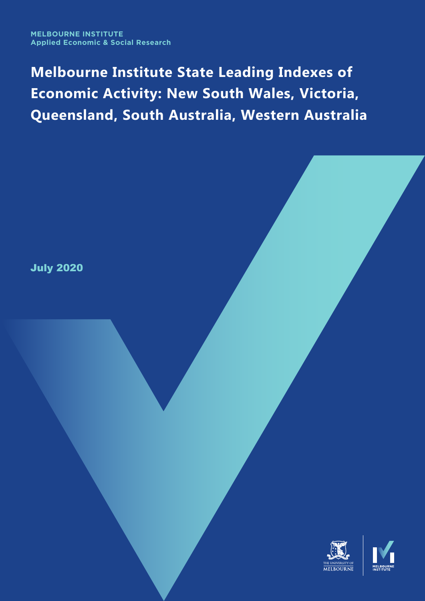**Melbourne Institute State Leading Indexes of Economic Activity: New South Wales, Victoria, Queensland, South Australia, Western Australia**

July 2020

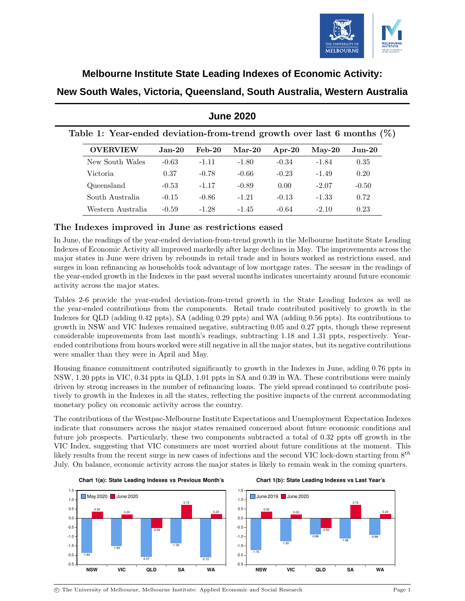

### **Melbourne Institute State Leading Indexes of Economic Activity:**

| New South Wales, Victoria, Queensland, South Australia, Western Australia |  |  |  |
|---------------------------------------------------------------------------|--|--|--|
|---------------------------------------------------------------------------|--|--|--|

| <b>OVERVIEW</b>   | $Jan-20$ | $Feb-20$ | $Mar-20$ | $Ar^{-20}$ | $Mav-20$ | $Jun-20$ |
|-------------------|----------|----------|----------|------------|----------|----------|
| New South Wales   | $-0.63$  | $-1.11$  | $-1.80$  | $-0.34$    | $-1.84$  | 0.35     |
| Victoria.         | 0.37     | $-0.78$  | $-0.66$  | $-0.23$    | $-1.49$  | 0.20     |
| Queensland        | $-0.53$  | $-1.17$  | $-0.89$  | 0.00       | $-2.07$  | $-0.50$  |
| South Australia   | $-0.15$  | $-0.86$  | $-1.21$  | $-0.13$    | $-1.33$  | 0.72     |
| Western Australia | $-0.59$  | $-1.28$  | $-1.45$  | $-0.64$    | $-2.10$  | 0.23     |

## **June 2020**

### The Indexes improved in June as restrictions eased

In June, the readings of the year-ended deviation-from-trend growth in the Melbourne Institute State Leading Indexes of Economic Activity all improved markedly after large declines in May. The improvements across the major states in June were driven by rebounds in retail trade and in hours worked as restrictions eased, and surges in loan refinancing as households took advantage of low mortgage rates. The seesaw in the readings of the year-ended growth in the Indexes in the past several months indicates uncertainty around future economic activity across the major states.

Tables 2-6 provide the year-ended deviation-from-trend growth in the State Leading Indexes as well as the year-ended contributions from the components. Retail trade contributed positively to growth in the Indexes for QLD (adding 0.42 ppts), SA (adding 0.29 ppts) and WA (adding 0.56 ppts). Its contributions to growth in NSW and VIC Indexes remained negative, subtracting 0.05 and 0.27 ppts, though these represent considerable improvements from last month's readings, subtracting 1.18 and 1.31 ppts, respectively. Yearended contributions from hours worked were still negative in all the major states, but its negative contributions were smaller than they were in April and May.

Housing finance commitment contributed significantly to growth in the Indexes in June, adding 0.76 ppts in NSW, 1.20 ppts in VIC, 0.34 ppts in QLD, 1.01 ppts in SA and 0.39 in WA. These contributions were mainly driven by strong increases in the number of refinancing loans. The yield spread continued to contribute positively to growth in the Indexes in all the states, reflecting the positive impacts of the current accommodating monetary policy on economic activity across the country.

The contributions of the Westpac-Melbourne Institute Expectations and Unemployment Expectation Indexes indicate that consumers across the major states remained concerned about future economic conditions and future job prospects. Particularly, these two components subtracted a total of 0.32 ppts off growth in the VIC Index, suggesting that VIC consumers are most worried about future conditions at the moment. This likely results from the recent surge in new cases of infections and the second VIC lock-down starting from  $8^{th}$ July. On balance, economic activity across the major states is likely to remain weak in the coming quarters.



**Chart 1(a): State Leading Indexes vs Previous Month's**

#### **Chart 1(b): State Leading Indexes vs Last Year's**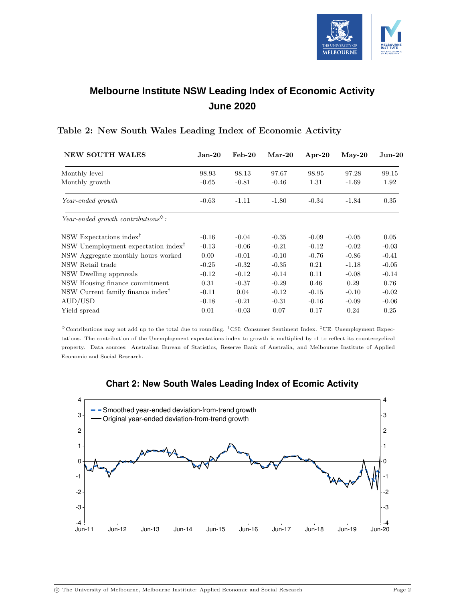

# **Melbourne Institute NSW Leading Index of Economic Activity June 2020**

| <b>NEW SOUTH WALES</b>                                             | $Jan-20$ | $\text{Feb-}20$ | $Mar-20$ | $Apr-20$ | $May-20$ | $Jun-20$ |
|--------------------------------------------------------------------|----------|-----------------|----------|----------|----------|----------|
| Monthly level                                                      | 98.93    | 98.13           | 97.67    | 98.95    | 97.28    | 99.15    |
| Monthly growth                                                     | $-0.65$  | $-0.81$         | $-0.46$  | 1.31     | $-1.69$  | 1.92     |
| Year-ended growth                                                  | $-0.63$  | $-1.11$         | $-1.80$  | $-0.34$  | $-1.84$  | 0.35     |
| Year-ended growth contributions <sup><math>\diamond</math></sup> : |          |                 |          |          |          |          |
| NSW Expectations index <sup>†</sup>                                | $-0.16$  | $-0.04$         | $-0.35$  | $-0.09$  | $-0.05$  | 0.05     |
| NSW Unemployment expectation index <sup>†</sup>                    | $-0.13$  | $-0.06$         | $-0.21$  | $-0.12$  | $-0.02$  | $-0.03$  |
| NSW Aggregate monthly hours worked                                 | 0.00     | $-0.01$         | $-0.10$  | $-0.76$  | $-0.86$  | $-0.41$  |
| NSW Retail trade                                                   | $-0.25$  | $-0.32$         | $-0.35$  | 0.21     | $-1.18$  | $-0.05$  |
| NSW Dwelling approvals                                             | $-0.12$  | $-0.12$         | $-0.14$  | 0.11     | $-0.08$  | $-0.14$  |
| NSW Housing finance commitment                                     | 0.31     | $-0.37$         | $-0.29$  | 0.46     | 0.29     | 0.76     |
| NSW Current family finance index <sup>†</sup>                      | $-0.11$  | 0.04            | $-0.12$  | $-0.15$  | $-0.10$  | $-0.02$  |
| AUD/USD                                                            | $-0.18$  | $-0.21$         | $-0.31$  | $-0.16$  | $-0.09$  | $-0.06$  |
| Yield spread                                                       | 0.01     | $-0.03$         | 0.07     | 0.17     | 0.24     | 0.25     |

#### Table 2: New South Wales Leading Index of Economic Activity

 $\degree$ Contributions may not add up to the total due to rounding. <sup>†</sup>CSI: Consumer Sentiment Index. <sup>‡</sup>UE: Unemployment Expectations. The contribution of the Unemployment expectations index to growth is multiplied by -1 to reflect its countercyclical property. Data sources: Australian Bureau of Statistics, Reserve Bank of Australia, and Melbourne Institute of Applied Economic and Social Research.



### **Chart 2: New South Wales Leading Index of Ecomic Activity**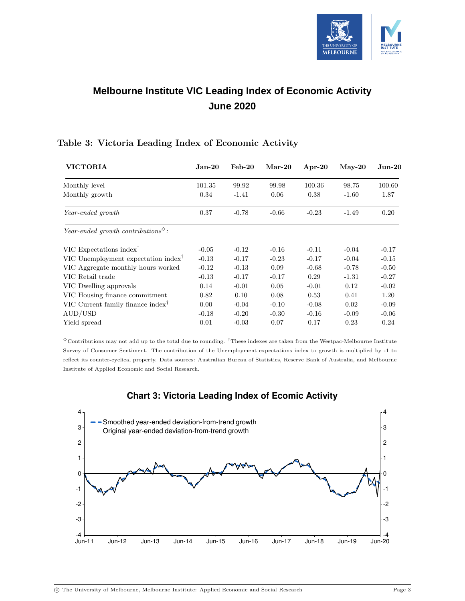

# **Melbourne Institute VIC Leading Index of Economic Activity June 2020**

| <b>VICTORIA</b>                                                    | $Jan-20$ | $\text{Feb-}20$ | $Mar-20$ | Apr-20  | $May-20$ | $Jun-20$ |
|--------------------------------------------------------------------|----------|-----------------|----------|---------|----------|----------|
| Monthly level                                                      | 101.35   | 99.92           | 99.98    | 100.36  | 98.75    | 100.60   |
| Monthly growth                                                     | 0.34     | $-1.41$         | 0.06     | 0.38    | $-1.60$  | 1.87     |
| Year-ended growth                                                  | 0.37     | $-0.78$         | $-0.66$  | $-0.23$ | $-1.49$  | 0.20     |
| Year-ended growth contributions <sup><math>\diamond</math></sup> : |          |                 |          |         |          |          |
| VIC Expectations index <sup>†</sup>                                | $-0.05$  | $-0.12$         | $-0.16$  | $-0.11$ | $-0.04$  | $-0.17$  |
| VIC Unemployment expectation index <sup>†</sup>                    | $-0.13$  | $-0.17$         | $-0.23$  | $-0.17$ | $-0.04$  | $-0.15$  |
| VIC Aggregate monthly hours worked                                 | $-0.12$  | $-0.13$         | 0.09     | $-0.68$ | $-0.78$  | $-0.50$  |
| VIC Retail trade                                                   | $-0.13$  | $-0.17$         | $-0.17$  | 0.29    | $-1.31$  | $-0.27$  |
| VIC Dwelling approvals                                             | 0.14     | $-0.01$         | 0.05     | $-0.01$ | 0.12     | $-0.02$  |
| VIC Housing finance commitment                                     | 0.82     | 0.10            | 0.08     | 0.53    | 0.41     | 1.20     |
| VIC Current family finance index <sup>†</sup>                      | 0.00     | $-0.04$         | $-0.10$  | $-0.08$ | 0.02     | $-0.09$  |
| AUD/USD                                                            | $-0.18$  | $-0.20$         | $-0.30$  | $-0.16$ | $-0.09$  | $-0.06$  |
| Yield spread                                                       | 0.01     | $-0.03$         | 0.07     | 0.17    | 0.23     | 0.24     |

### Table 3: Victoria Leading Index of Economic Activity

 $\degree$ Contributions may not add up to the total due to rounding. <sup>†</sup>These indexes are taken from the Westpac-Melbourne Institute Survey of Consumer Sentiment. The contribution of the Unemployment expectations index to growth is multiplied by -1 to reflect its counter-cyclical property. Data sources: Australian Bureau of Statistics, Reserve Bank of Australia, and Melbourne Institute of Applied Economic and Social Research.



### **Chart 3: Victoria Leading Index of Ecomic Activity**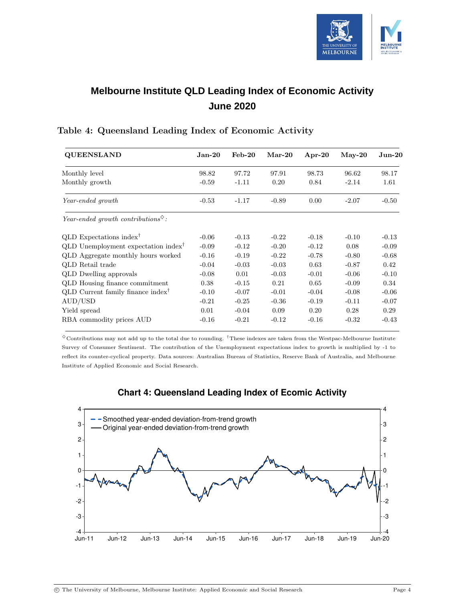

# **Melbourne Institute QLD Leading Index of Economic Activity June 2020**

| <b>QUEENSLAND</b>                                                  | ${\rm Jan\text{-}20}$ | $\text{Feb-}20$ | $Mar-20$ | $Apr-20$ | $May-20$ | $Jun-20$ |
|--------------------------------------------------------------------|-----------------------|-----------------|----------|----------|----------|----------|
| Monthly level                                                      | 98.82                 | 97.72           | 97.91    | 98.73    | 96.62    | 98.17    |
| Monthly growth                                                     | $-0.59$               | $-1.11$         | 0.20     | 0.84     | $-2.14$  | 1.61     |
| Year-ended growth                                                  | $-0.53$               | $-1.17$         | $-0.89$  | 0.00     | $-2.07$  | $-0.50$  |
| Year-ended growth contributions <sup><math>\diamond</math></sup> : |                       |                 |          |          |          |          |
| $QLD$ Expectations index <sup>†</sup>                              | $-0.06$               | $-0.13$         | $-0.22$  | $-0.18$  | $-0.10$  | $-0.13$  |
| QLD Unemployment expectation index <sup>†</sup>                    | $-0.09$               | $-0.12$         | $-0.20$  | $-0.12$  | 0.08     | $-0.09$  |
| QLD Aggregate monthly hours worked                                 | $-0.16$               | $-0.19$         | $-0.22$  | $-0.78$  | $-0.80$  | $-0.68$  |
| QLD Retail trade                                                   | $-0.04$               | $-0.03$         | $-0.03$  | 0.63     | $-0.87$  | 0.42     |
| <b>QLD</b> Dwelling approvals                                      | $-0.08$               | 0.01            | $-0.03$  | $-0.01$  | $-0.06$  | $-0.10$  |
| QLD Housing finance commitment                                     | 0.38                  | $-0.15$         | 0.21     | 0.65     | $-0.09$  | 0.34     |
| QLD Current family finance index <sup>†</sup>                      | $-0.10$               | $-0.07$         | $-0.01$  | $-0.04$  | $-0.08$  | $-0.06$  |
| AUD/USD                                                            | $-0.21$               | $-0.25$         | $-0.36$  | $-0.19$  | $-0.11$  | $-0.07$  |
| Yield spread                                                       | 0.01                  | $-0.04$         | 0.09     | 0.20     | 0.28     | 0.29     |
| RBA commodity prices AUD                                           | $-0.16$               | $-0.21$         | $-0.12$  | $-0.16$  | $-0.32$  | $-0.43$  |

### Table 4: Queensland Leading Index of Economic Activity

 $^\diamond$  Contributions may not add up to the total due to rounding.  $^\dagger$  These indexes are taken from the Westpac-Melbourne Institute Survey of Consumer Sentiment. The contribution of the Unemployment expectations index to growth is multiplied by -1 to reflect its counter-cyclical property. Data sources: Australian Bureau of Statistics, Reserve Bank of Australia, and Melbourne Institute of Applied Economic and Social Research.



### **Chart 4: Queensland Leading Index of Ecomic Activity**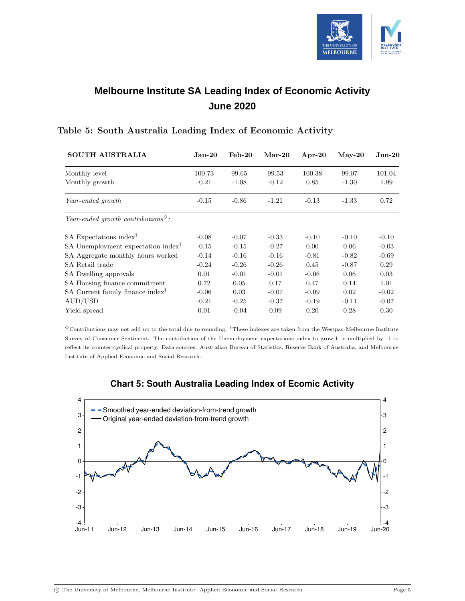

# **Melbourne Institute SA Leading Index of Economic Activity June 2020**

| <b>SOUTH AUSTRALIA</b>                                             | Jan-20  | $Feb-20$ | $Mar-20$ | $Apr-20$ | $May-20$ | $_{\rm Jun-20}$ |
|--------------------------------------------------------------------|---------|----------|----------|----------|----------|-----------------|
| Monthly level                                                      | 100.73  | 99.65    | 99.53    | 100.38   | 99.07    | 101.04          |
| Monthly growth                                                     | $-0.21$ | $-1.08$  | $-0.12$  | 0.85     | $-1.30$  | 1.99            |
| Year-ended growth                                                  | $-0.15$ | $-0.86$  | $-1.21$  | $-0.13$  | $-1.33$  | 0.72            |
| Year-ended growth contributions <sup><math>\diamond</math></sup> : |         |          |          |          |          |                 |
| SA Expectations index <sup>†</sup>                                 | $-0.08$ | $-0.07$  | $-0.33$  | $-0.10$  | $-0.10$  | $-0.10$         |
| SA Unemployment expectation index <sup>†</sup>                     | $-0.15$ | $-0.15$  | $-0.27$  | 0.00     | 0.06     | $-0.03$         |
| SA Aggregate monthly hours worked                                  | $-0.14$ | $-0.16$  | $-0.16$  | $-0.81$  | $-0.82$  | $-0.69$         |
| SA Retail trade                                                    | $-0.24$ | $-0.26$  | $-0.26$  | 0.45     | $-0.87$  | 0.29            |
| SA Dwelling approvals                                              | 0.01    | $-0.01$  | $-0.01$  | $-0.06$  | 0.06     | 0.03            |
| SA Housing finance commitment                                      | 0.72    | 0.05     | 0.17     | 0.47     | 0.14     | 1.01            |
| SA Current family finance index <sup>†</sup>                       | $-0.06$ | 0.03     | $-0.07$  | $-0.09$  | 0.02     | $-0.02$         |
| AUD/USD                                                            | $-0.21$ | $-0.25$  | $-0.37$  | $-0.19$  | $-0.11$  | $-0.07$         |
| Yield spread                                                       | 0.01    | $-0.04$  | 0.09     | 0.20     | 0.28     | 0.30            |

### Table 5: South Australia Leading Index of Economic Activity

 $\diamond$  Contributions may not add up to the total due to rounding. <sup>†</sup>These indexes are taken from the Westpac-Melbourne Institute Survey of Consumer Sentiment. The contribution of the Unemployment expectations index to growth is multiplied by -1 to reflect its counter-cyclical property. Data sources: Australian Bureau of Statistics, Reserve Bank of Australia, and Melbourne Institute of Applied Economic and Social Research.



### **Chart 5: South Australia Leading Index of Ecomic Activity**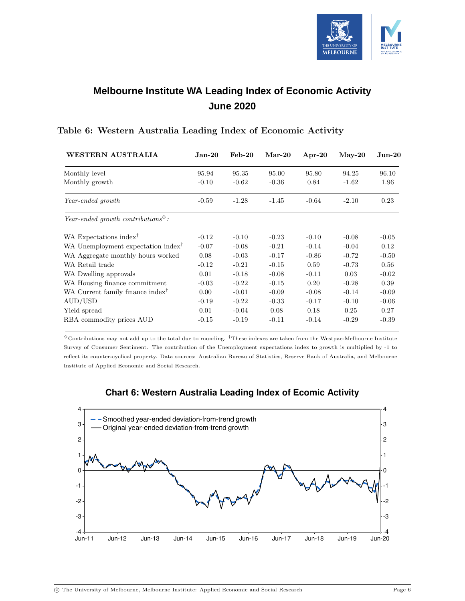

# **Melbourne Institute WA Leading Index of Economic Activity June 2020**

| WESTERN AUSTRALIA                                                  | ${\rm Jan\text{-}20}$ | $\text{Feb-}20$ | $Mar-20$ | $Apr-20$ | $May-20$ | $_{\rm Jun-20}$ |
|--------------------------------------------------------------------|-----------------------|-----------------|----------|----------|----------|-----------------|
| Monthly level                                                      | 95.94                 | 95.35           | 95.00    | 95.80    | 94.25    | 96.10           |
| Monthly growth                                                     | $-0.10$               | $-0.62$         | $-0.36$  | 0.84     | $-1.62$  | 1.96            |
| Year-ended growth                                                  | $-0.59$               | $-1.28$         | $-1.45$  | $-0.64$  | $-2.10$  | 0.23            |
| Year-ended growth contributions <sup><math>\diamond</math></sup> : |                       |                 |          |          |          |                 |
| WA Expectations index <sup>†</sup>                                 | $-0.12$               | $-0.10$         | $-0.23$  | $-0.10$  | $-0.08$  | $-0.05$         |
| WA Unemployment expectation index <sup>†</sup>                     | $-0.07$               | $-0.08$         | $-0.21$  | $-0.14$  | $-0.04$  | 0.12            |
| WA Aggregate monthly hours worked                                  | 0.08                  | $-0.03$         | $-0.17$  | $-0.86$  | $-0.72$  | $-0.50$         |
| WA Retail trade                                                    | $-0.12$               | $-0.21$         | $-0.15$  | 0.59     | $-0.73$  | 0.56            |
| WA Dwelling approvals                                              | 0.01                  | $-0.18$         | $-0.08$  | $-0.11$  | 0.03     | $-0.02$         |
| WA Housing finance commitment                                      | $-0.03$               | $-0.22$         | $-0.15$  | 0.20     | $-0.28$  | 0.39            |
| WA Current family finance index <sup>†</sup>                       | 0.00                  | $-0.01$         | $-0.09$  | $-0.08$  | $-0.14$  | $-0.09$         |
| AUD/USD                                                            | $-0.19$               | $-0.22$         | $-0.33$  | $-0.17$  | $-0.10$  | $-0.06$         |
| Yield spread                                                       | 0.01                  | $-0.04$         | 0.08     | 0.18     | 0.25     | 0.27            |
| RBA commodity prices AUD                                           | $-0.15$               | $-0.19$         | $-0.11$  | $-0.14$  | $-0.29$  | $-0.39$         |

#### Table 6: Western Australia Leading Index of Economic Activity

 $\degree$ Contributions may not add up to the total due to rounding. <sup>†</sup>These indexes are taken from the Westpac-Melbourne Institute Survey of Consumer Sentiment. The contribution of the Unemployment expectations index to growth is multiplied by -1 to reflect its counter-cyclical property. Data sources: Australian Bureau of Statistics, Reserve Bank of Australia, and Melbourne Institute of Applied Economic and Social Research.



#### **Chart 6: Western Australia Leading Index of Ecomic Activity**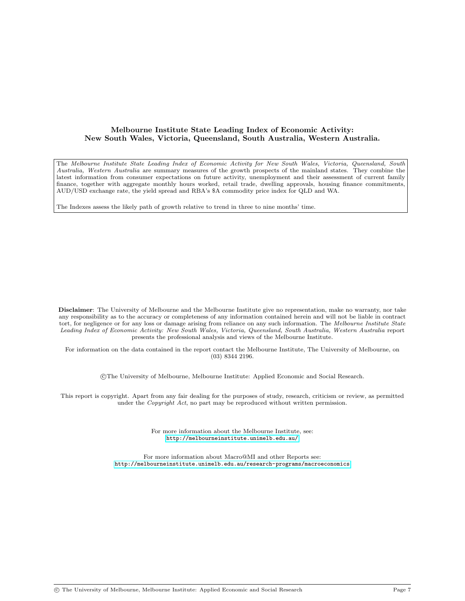#### Melbourne Institute State Leading Index of Economic Activity: New South Wales, Victoria, Queensland, South Australia, Western Australia.

The Melbourne Institute State Leading Index of Economic Activity for New South Wales, Victoria, Queensland, South Australia, Western Australia are summary measures of the growth prospects of the mainland states. They combine the latest information from consumer expectations on future activity, unemployment and their assessment of current family finance, together with aggregate monthly hours worked, retail trade, dwelling approvals, housing finance commitments, AUD/USD exchange rate, the yield spread and RBA's \$A commodity price index for QLD and WA.

The Indexes assess the likely path of growth relative to trend in three to nine months' time.

Disclaimer: The University of Melbourne and the Melbourne Institute give no representation, make no warranty, nor take any responsibility as to the accuracy or completeness of any information contained herein and will not be liable in contract tort, for negligence or for any loss or damage arising from reliance on any such information. The Melbourne Institute State Leading Index of Economic Activity: New South Wales, Victoria, Queensland, South Australia, Western Australia report presents the professional analysis and views of the Melbourne Institute.

For information on the data contained in the report contact the Melbourne Institute, The University of Melbourne, on (03) 8344 2196.

c The University of Melbourne, Melbourne Institute: Applied Economic and Social Research.

This report is copyright. Apart from any fair dealing for the purposes of study, research, criticism or review, as permitted under the *Copyright Act*, no part may be reproduced without written permission.

> For more information about the Melbourne Institute, see: <http://melbourneinstitute.unimelb.edu.au/>

For more information about Macro@MI and other Reports see: <http://melbourneinstitute.unimelb.edu.au/research-programs/macroeconomics>